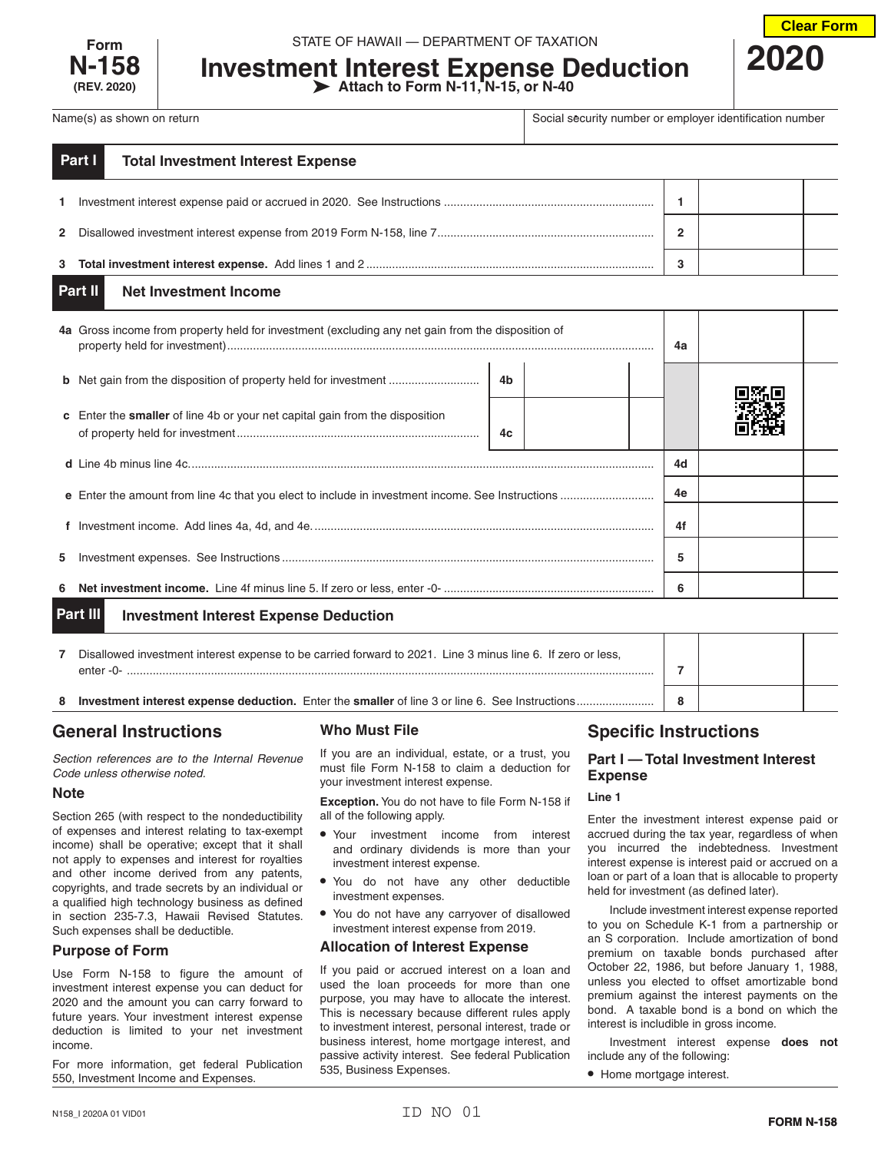

**Investment Interest Expense Deduction Attach to Form N-11, N-15, or N-40**



Name(s) as shown on return **Social security number or employer identification number** or employer identification number

| Part I<br><b>Total Investment Interest Expense</b> |   |  |
|----------------------------------------------------|---|--|
|                                                    |   |  |
|                                                    | 2 |  |
|                                                    | ີ |  |

#### **Net Investment Income Part II**

|                                                          | 4a Gross income from property held for investment (excluding any net gain from the disposition of |    |  |  | 4a |  |  |
|----------------------------------------------------------|---------------------------------------------------------------------------------------------------|----|--|--|----|--|--|
|                                                          | <b>b</b> Net gain from the disposition of property held for investment                            | 4b |  |  |    |  |  |
|                                                          | <b>c</b> Enter the <b>smaller</b> of line 4b or your net capital gain from the disposition        | 4c |  |  |    |  |  |
|                                                          |                                                                                                   |    |  |  | 4d |  |  |
|                                                          |                                                                                                   |    |  |  | 4e |  |  |
|                                                          |                                                                                                   |    |  |  | 4f |  |  |
| 5.                                                       |                                                                                                   |    |  |  | 5  |  |  |
| 6                                                        |                                                                                                   |    |  |  | 6  |  |  |
| Part III<br><b>Investment Interest Expense Deduction</b> |                                                                                                   |    |  |  |    |  |  |

|    | Disallowed investment interest expense to be carried forward to 2021. Line 3 minus line 6. If zero or less,<br>enter-0- |  |  |
|----|-------------------------------------------------------------------------------------------------------------------------|--|--|
| -8 | <b>Investment interest expense deduction.</b> Enter the <b>smaller</b> of line 3 or line 6. See Instructions            |  |  |

# **General Instructions**

*Section references are to the Internal Revenue Code unless otherwise noted.*

# **Note**

Section 265 (with respect to the nondeductibility of expenses and interest relating to tax-exempt income) shall be operative; except that it shall not apply to expenses and interest for royalties and other income derived from any patents, copyrights, and trade secrets by an individual or a qualified high technology business as defined in section 235-7.3, Hawaii Revised Statutes. Such expenses shall be deductible.

# **Purpose of Form**

Use Form N-158 to figure the amount of investment interest expense you can deduct for 2020 and the amount you can carry forward to future years. Your investment interest expense deduction is limited to your net investment income.

For more information, get federal Publication 550, Investment Income and Expenses.

# **Who Must File**

If you are an individual, estate, or a trust, you must file Form N-158 to claim a deduction for your investment interest expense.

**Exception.** You do not have to file Form N-158 if all of the following apply.

- Your investment income from interest and ordinary dividends is more than your investment interest expense.
- You do not have any other deductible investment expenses.
- You do not have any carryover of disallowed investment interest expense from 2019.

# **Allocation of Interest Expense**

If you paid or accrued interest on a loan and used the loan proceeds for more than one purpose, you may have to allocate the interest. This is necessary because different rules apply to investment interest, personal interest, trade or business interest, home mortgage interest, and passive activity interest. See federal Publication 535, Business Expenses.

# **Specific Instructions**

# **Part I — Total Investment Interest Expense**

# **Line 1**

Enter the investment interest expense paid or accrued during the tax year, regardless of when you incurred the indebtedness. Investment interest expense is interest paid or accrued on a loan or part of a loan that is allocable to property held for investment (as defined later).

Include investment interest expense reported to you on Schedule K-1 from a partnership or an S corporation. Include amortization of bond premium on taxable bonds purchased after October 22, 1986, but before January 1, 1988, unless you elected to offset amortizable bond premium against the interest payments on the bond. A taxable bond is a bond on which the interest is includible in gross income.

Investment interest expense **does not** include any of the following:

• Home mortgage interest.